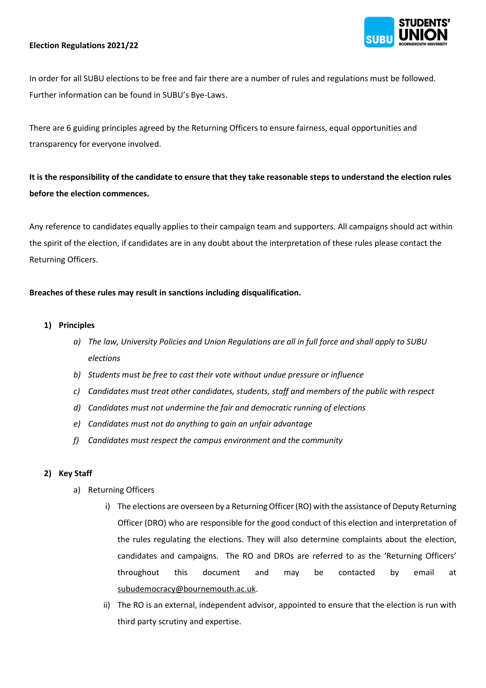### **Election Regulations 2021/22**

In order for all SUBU elections to be free and fair there are a number of rules and regulations must be followed. Further information can be found in SUBU's Bye-Laws.

There are 6 guiding principles agreed by the Returning Officers to ensure fairness, equal opportunities and transparency for everyone involved.

**It is the responsibility of the candidate to ensure that they take reasonable steps to understand the election rules before the election commences.**

Any reference to candidates equally applies to their campaign team and supporters. All campaigns should act within the spirit of the election, if candidates are in any doubt about the interpretation of these rules please contact the Returning Officers.

#### **Breaches of these rules may result in sanctions including disqualification.**

#### **1) Principles**

- *a) The law, University Policies and Union Regulations are all in full force and shall apply to SUBU elections*
- *b) Students must be free to cast their vote without undue pressure or influence*
- *c) Candidates must treat other candidates, students, staff and members of the public with respect*
- *d) Candidates must not undermine the fair and democratic running of elections*
- *e) Candidates must not do anything to gain an unfair advantage*
- *f) Candidates must respect the campus environment and the community*

#### **2) Key Staff**

- a) Returning Officers
	- i) The elections are overseen by a Returning Officer (RO) with the assistance of Deputy Returning Officer (DRO) who are responsible for the good conduct of this election and interpretation of the rules regulating the elections. They will also determine complaints about the election, candidates and campaigns. The RO and DROs are referred to as the 'Returning Officers' throughout this document and may be contacted by email at [subudemocracy@bournemouth.ac.uk.](mailto:subudemocracy@bournemouth.ac.uk)
	- ii) The RO is an external, independent advisor, appointed to ensure that the election is run with third party scrutiny and expertise.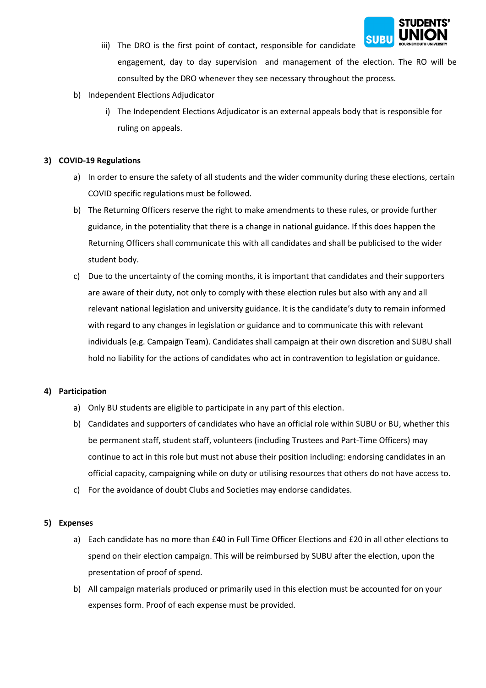

- iii) The DRO is the first point of contact, responsible for candidate engagement, day to day supervision and management of the election. The RO will be consulted by the DRO whenever they see necessary throughout the process.
- b) Independent Elections Adjudicator
	- i) The Independent Elections Adjudicator is an external appeals body that is responsible for ruling on appeals.

## **3) COVID-19 Regulations**

- a) In order to ensure the safety of all students and the wider community during these elections, certain COVID specific regulations must be followed.
- b) The Returning Officers reserve the right to make amendments to these rules, or provide further guidance, in the potentiality that there is a change in national guidance. If this does happen the Returning Officers shall communicate this with all candidates and shall be publicised to the wider student body.
- c) Due to the uncertainty of the coming months, it is important that candidates and their supporters are aware of their duty, not only to comply with these election rules but also with any and all relevant national legislation and university guidance. It is the candidate's duty to remain informed with regard to any changes in legislation or guidance and to communicate this with relevant individuals (e.g. Campaign Team). Candidates shall campaign at their own discretion and SUBU shall hold no liability for the actions of candidates who act in contravention to legislation or guidance.

### **4) Participation**

- a) Only BU students are eligible to participate in any part of this election.
- b) Candidates and supporters of candidates who have an official role within SUBU or BU, whether this be permanent staff, student staff, volunteers (including Trustees and Part-Time Officers) may continue to act in this role but must not abuse their position including: endorsing candidates in an official capacity, campaigning while on duty or utilising resources that others do not have access to.
- c) For the avoidance of doubt Clubs and Societies may endorse candidates.

### **5) Expenses**

- a) Each candidate has no more than £40 in Full Time Officer Elections and £20 in all other elections to spend on their election campaign. This will be reimbursed by SUBU after the election, upon the presentation of proof of spend.
- b) All campaign materials produced or primarily used in this election must be accounted for on your expenses form. Proof of each expense must be provided.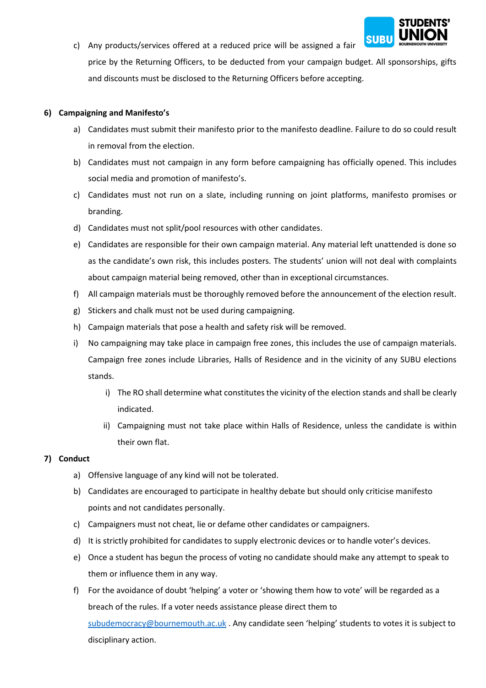

c) Any products/services offered at a reduced price will be assigned a fair price by the Returning Officers, to be deducted from your campaign budget. All sponsorships, gifts and discounts must be disclosed to the Returning Officers before accepting.

## **6) Campaigning and Manifesto's**

- a) Candidates must submit their manifesto prior to the manifesto deadline. Failure to do so could result in removal from the election.
- b) Candidates must not campaign in any form before campaigning has officially opened. This includes social media and promotion of manifesto's.
- c) Candidates must not run on a slate, including running on joint platforms, manifesto promises or branding.
- d) Candidates must not split/pool resources with other candidates.
- e) Candidates are responsible for their own campaign material. Any material left unattended is done so as the candidate's own risk, this includes posters. The students' union will not deal with complaints about campaign material being removed, other than in exceptional circumstances.
- f) All campaign materials must be thoroughly removed before the announcement of the election result.
- g) Stickers and chalk must not be used during campaigning.
- h) Campaign materials that pose a health and safety risk will be removed.
- i) No campaigning may take place in campaign free zones, this includes the use of campaign materials. Campaign free zones include Libraries, Halls of Residence and in the vicinity of any SUBU elections stands.
	- i) The RO shall determine what constitutes the vicinity of the election stands and shall be clearly indicated.
	- ii) Campaigning must not take place within Halls of Residence, unless the candidate is within their own flat.

# **7) Conduct**

- a) Offensive language of any kind will not be tolerated.
- b) Candidates are encouraged to participate in healthy debate but should only criticise manifesto points and not candidates personally.
- c) Campaigners must not cheat, lie or defame other candidates or campaigners.
- d) It is strictly prohibited for candidates to supply electronic devices or to handle voter's devices.
- e) Once a student has begun the process of voting no candidate should make any attempt to speak to them or influence them in any way.
- f) For the avoidance of doubt 'helping' a voter or 'showing them how to vote' will be regarded as a breach of the rules. If a voter needs assistance please direct them to [subudemocracy@bournemouth.ac.uk](mailto:subudemocracy@bournemouth.ac.uk) . Any candidate seen 'helping' students to votes it is subject to disciplinary action.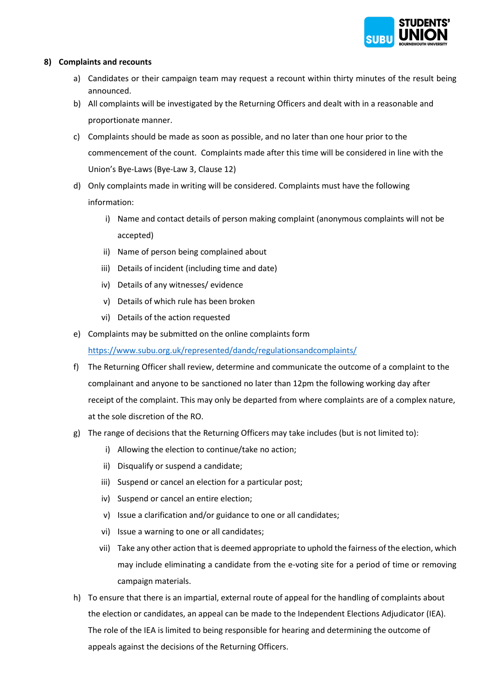

## **8) Complaints and recounts**

- a) Candidates or their campaign team may request a recount within thirty minutes of the result being announced.
- b) All complaints will be investigated by the Returning Officers and dealt with in a reasonable and proportionate manner.
- c) Complaints should be made as soon as possible, and no later than one hour prior to the commencement of the count. Complaints made after this time will be considered in line with the Union's Bye-Laws (Bye-Law 3, Clause 12)
- d) Only complaints made in writing will be considered. Complaints must have the following information:
	- i) Name and contact details of person making complaint (anonymous complaints will not be accepted)
	- ii) Name of person being complained about
	- iii) Details of incident (including time and date)
	- iv) Details of any witnesses/ evidence
	- v) Details of which rule has been broken
	- vi) Details of the action requested
- e) Complaints may be submitted on the online complaints form

<https://www.subu.org.uk/represented/dandc/regulationsandcomplaints/>

- f) The Returning Officer shall review, determine and communicate the outcome of a complaint to the complainant and anyone to be sanctioned no later than 12pm the following working day after receipt of the complaint. This may only be departed from where complaints are of a complex nature, at the sole discretion of the RO.
- g) The range of decisions that the Returning Officers may take includes (but is not limited to):
	- i) Allowing the election to continue/take no action;
	- ii) Disqualify or suspend a candidate;
	- iii) Suspend or cancel an election for a particular post;
	- iv) Suspend or cancel an entire election;
	- v) Issue a clarification and/or guidance to one or all candidates;
	- vi) Issue a warning to one or all candidates;
	- vii) Take any other action that is deemed appropriate to uphold the fairness of the election, which may include eliminating a candidate from the e-voting site for a period of time or removing campaign materials.
- h) To ensure that there is an impartial, external route of appeal for the handling of complaints about the election or candidates, an appeal can be made to the Independent Elections Adjudicator (IEA). The role of the IEA is limited to being responsible for hearing and determining the outcome of appeals against the decisions of the Returning Officers.